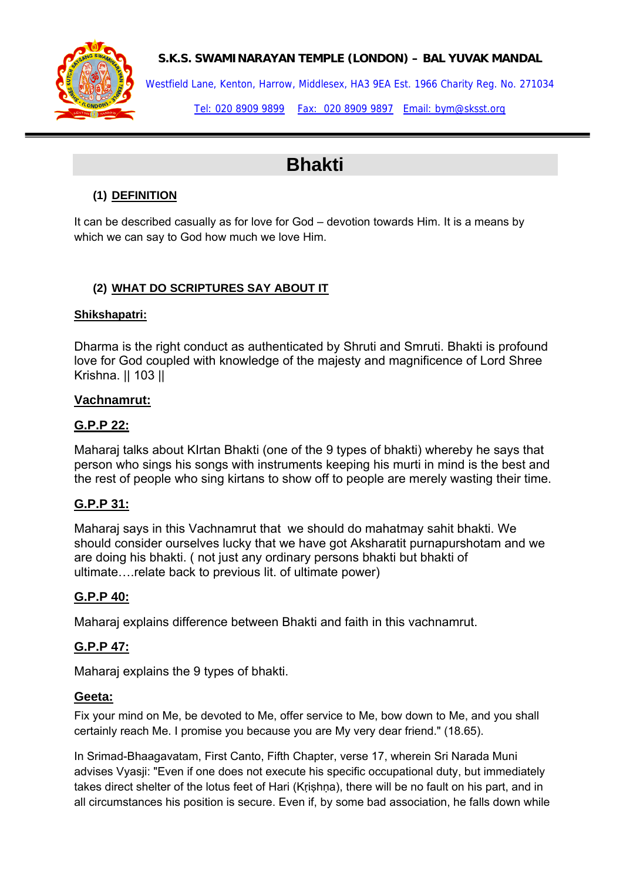

# **S.K.S. SWAMINARAYAN TEMPLE (LONDON) – BAL YUVAK MANDAL**

Westfield Lane, Kenton, Harrow, Middlesex, HA3 9EA Est. 1966 Charity Reg. No. 271034

Tel: 020 8909 9899 Fax: 020 8909 9897 Email: bym@sksst.org

# **Bhakti**

# **(1) DEFINITION**

It can be described casually as for love for God – devotion towards Him. It is a means by which we can say to God how much we love Him.

## **(2) WHAT DO SCRIPTURES SAY ABOUT IT**

#### **Shikshapatri:**

Dharma is the right conduct as authenticated by Shruti and Smruti. Bhakti is profound love for God coupled with knowledge of the majesty and magnificence of Lord Shree Krishna. || 103 ||

#### **Vachnamrut:**

## **G.P.P 22:**

Maharaj talks about KIrtan Bhakti (one of the 9 types of bhakti) whereby he says that person who sings his songs with instruments keeping his murti in mind is the best and the rest of people who sing kirtans to show off to people are merely wasting their time.

# **G.P.P 31:**

Maharaj says in this Vachnamrut that we should do mahatmay sahit bhakti. We should consider ourselves lucky that we have got Aksharatit purnapurshotam and we are doing his bhakti. ( not just any ordinary persons bhakti but bhakti of ultimate….relate back to previous lit. of ultimate power)

#### **G.P.P 40:**

Maharaj explains difference between Bhakti and faith in this vachnamrut.

# **G.P.P 47:**

Maharaj explains the 9 types of bhakti.

#### **Geeta:**

Fix your mind on Me, be devoted to Me, offer service to Me, bow down to Me, and you shall certainly reach Me. I promise you because you are My very dear friend." (18.65).

In Srimad-Bhaagavatam, First Canto, Fifth Chapter, verse 17, wherein Sri Narada Muni advises Vyasji: "Even if one does not execute his specific occupational duty, but immediately takes direct shelter of the lotus feet of Hari (Krishna), there will be no fault on his part, and in all circumstances his position is secure. Even if, by some bad association, he falls down while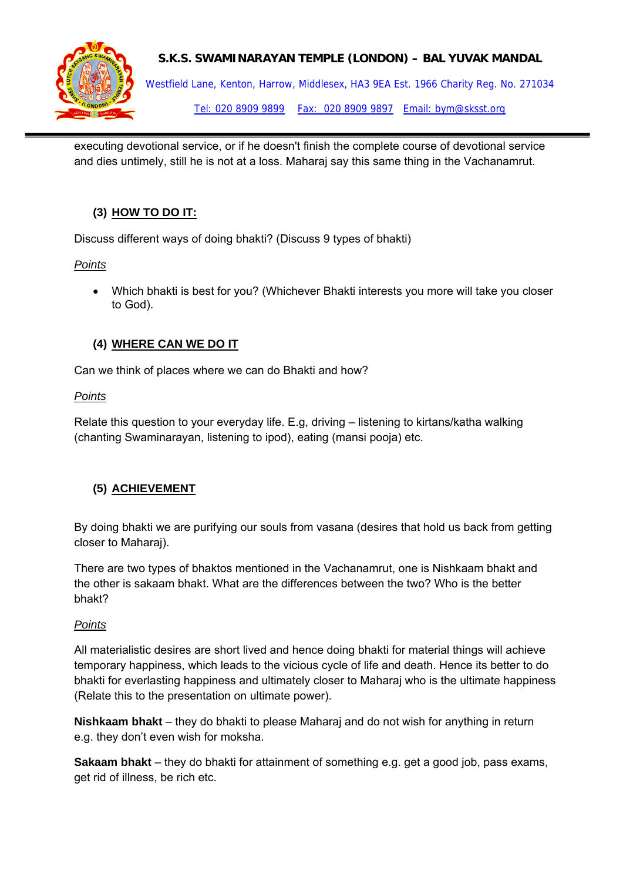

#### **S.K.S. SWAMINARAYAN TEMPLE (LONDON) – BAL YUVAK MANDAL**

Westfield Lane, Kenton, Harrow, Middlesex, HA3 9EA Est. 1966 Charity Reg. No. 271034 Tel: 020 8909 9899 Fax: 020 8909 9897 Email: bym@sksst.org

executing devotional service, or if he doesn't finish the complete course of devotional service and dies untimely, still he is not at a loss. Maharaj say this same thing in the Vachanamrut.

# **(3) HOW TO DO IT:**

Discuss different ways of doing bhakti? (Discuss 9 types of bhakti)

#### *Points*

• Which bhakti is best for you? (Whichever Bhakti interests you more will take you closer to God).

## **(4) WHERE CAN WE DO IT**

Can we think of places where we can do Bhakti and how?

#### *Points*

Relate this question to your everyday life. E.g, driving – listening to kirtans/katha walking (chanting Swaminarayan, listening to ipod), eating (mansi pooja) etc.

#### **(5) ACHIEVEMENT**

By doing bhakti we are purifying our souls from vasana (desires that hold us back from getting closer to Maharaj).

There are two types of bhaktos mentioned in the Vachanamrut, one is Nishkaam bhakt and the other is sakaam bhakt. What are the differences between the two? Who is the better bhakt?

#### *Points*

All materialistic desires are short lived and hence doing bhakti for material things will achieve temporary happiness, which leads to the vicious cycle of life and death. Hence its better to do bhakti for everlasting happiness and ultimately closer to Maharaj who is the ultimate happiness (Relate this to the presentation on ultimate power).

**Nishkaam bhakt** – they do bhakti to please Maharaj and do not wish for anything in return e.g. they don't even wish for moksha.

**Sakaam bhakt** – they do bhakti for attainment of something e.g. get a good job, pass exams, get rid of illness, be rich etc.